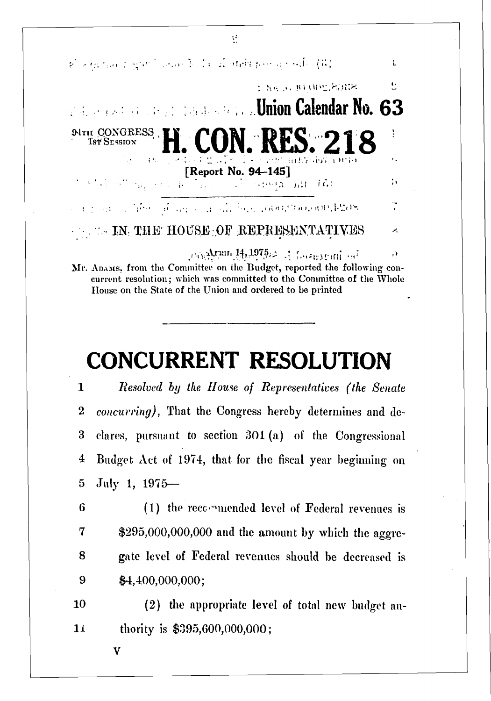

Mr. ADAMS, from the Committee on the Budget, reported the following concurrent resolution; which was committed to the Committee of the Whole House on the State of the Union and ordered to be printed

## **CONCURRENT RESOLUTION**

 *Resolved by the Home of Representatives (the Senate concurring),* That the Congress hereby determines and de- dares, pursuant to section 301 (a) of the Congressional Budget Act of 1974, that for the fiscal year beginning on July 1, 1975—

6 (1) the recommended level of Federal revenues is \$295,000,000,000 and the amount by which the aggrc- gate level of Federal revenues should be decreased is \$4,400,000,000;

10 (2) the appropriate level of total new budget an-14 thority is \$395,600,000,000;

**V**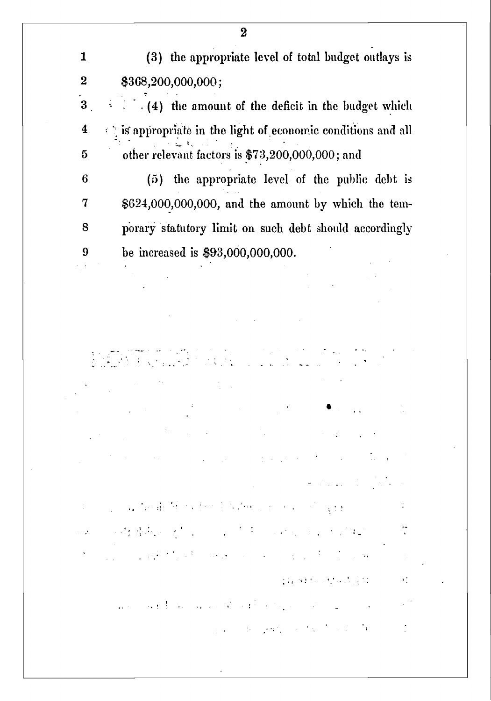1 (3) the appropriate level of total budget outlays is 2 \$368,200,000,000;

3 . *- '.* . (4) the amount of the deficit in the budget which  $4 \rightarrow \gamma$  is appropriate in the light of economic conditions and all 5 other relevant factors is \$73,200,000,000; and

 (5) the appropriate level of the public debt is \$624,000,000,000, and the amount by which the tem-8 porary statutory limit on such debt should accordingly be increased is \$93,000,000,000.

> $\label{eq:2.1} \frac{1}{\sqrt{2}}\int_{0}^{\infty}\frac{1}{\sqrt{2\pi}}\left(\frac{1}{\sqrt{2\pi}}\right)^{2\alpha} \frac{1}{\sqrt{2\pi}}\int_{0}^{\infty}\frac{1}{\sqrt{2\pi}}\left(\frac{1}{\sqrt{2\pi}}\right)^{2\alpha} \frac{1}{\sqrt{2\pi}}\frac{1}{\sqrt{2\pi}}\frac{1}{\sqrt{2\pi}}\frac{1}{\sqrt{2\pi}}\frac{1}{\sqrt{2\pi}}\frac{1}{\sqrt{2\pi}}\frac{1}{\sqrt{2\pi}}\frac{1}{\sqrt{2\pi}}\frac{1}{\sqrt$  $\frac{1}{2}$  ,  $\frac{1}{2}$  ,  $\frac{1}{2}$  ,  $\frac{1}{2}$

> > and the state of the

 $\frac{1}{\sqrt{2}}\left(\frac{1}{\sqrt{2}}\right)^{2}=\frac{1}{\sqrt{2}}\left(\frac{1}{\sqrt{2}}\right)^{2}=\frac{1}{\sqrt{2}}\left(\frac{1}{\sqrt{2}}\right)^{2}=\frac{1}{\sqrt{2}}\left(\frac{1}{\sqrt{2}}\right)^{2}=\frac{1}{\sqrt{2}}\left(\frac{1}{\sqrt{2}}\right)^{2}=\frac{1}{\sqrt{2}}\left(\frac{1}{\sqrt{2}}\right)^{2}=\frac{1}{\sqrt{2}}\left(\frac{1}{\sqrt{2}}\right)^{2}=\frac{1}{\sqrt{2}}\left(\frac{1}{\sqrt{2}}\right$ 

 $\{ \chi_k, \chi_k \}$  to be the star in the set of  $\{ \chi_k, \chi_k \}$ 

÷

 $\mathcal{F}^{\bullet}_{\mathcal{F}}$ 

 $\sim 1$ 

 $\Phi_{\rm{max}}$  and  $\Phi_{\rm{max}}$  are all the properties of the  $\sim$ 

and the complete different terms of the control of the complete of the control of the control of the control of

1990年の時間病の少し、 こうぎょう いちょうしんけい

and the property of the state of the state of the state of the state of

and the second state of the companion of the second companion of the companion of the second companion of the

such as you will be a strong

2